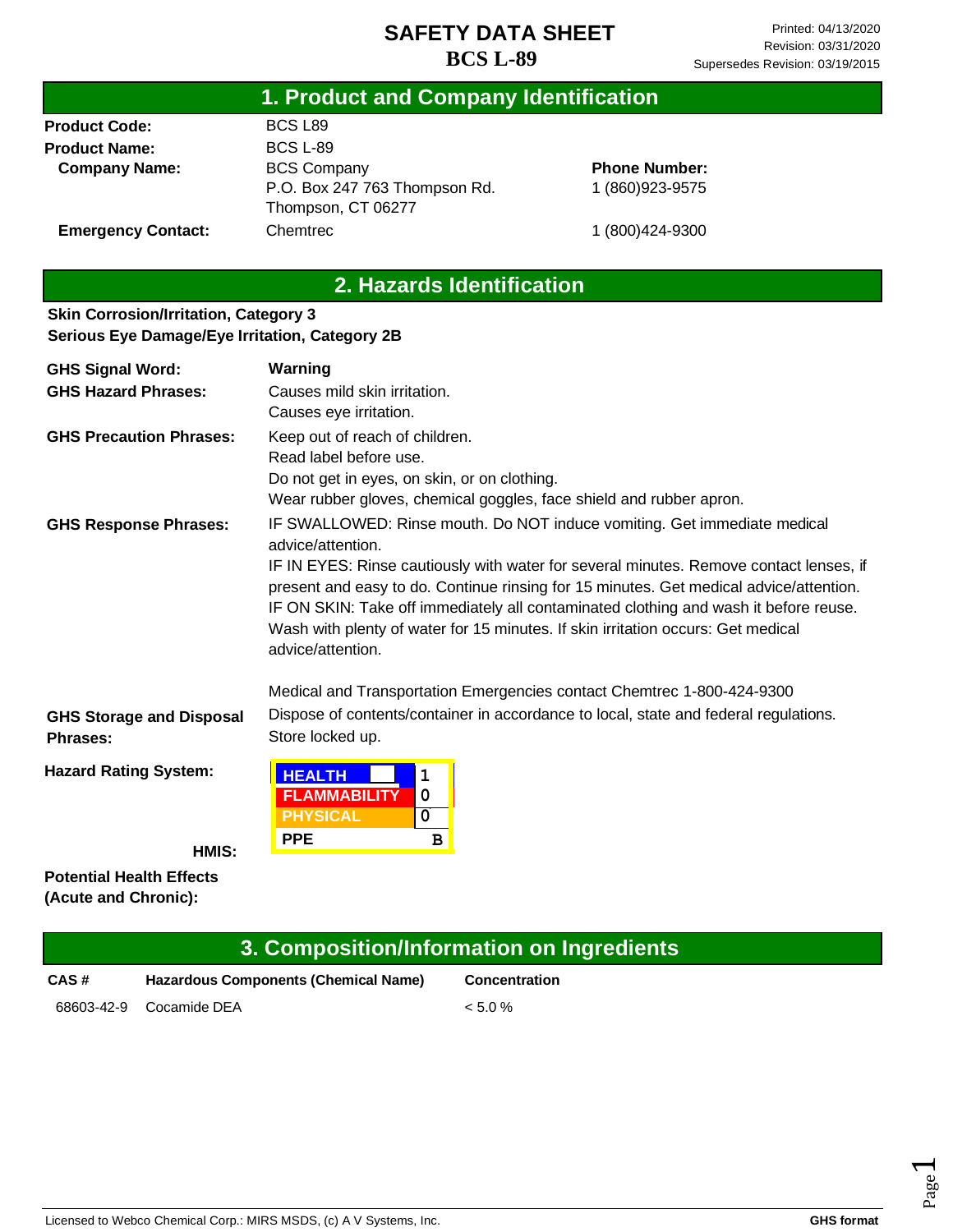## **1. Product and Company Identification**

**Product Code: Product Name: Company Name:** BCS L89 BCS L-89 BCS Company P.O. Box 247 763 Thompson Rd. Thompson, CT 06277 **Chemtrec** 

**Phone Number:** 1 (860)923-9575

1 (800)424-9300

**Emergency Contact:**

#### **2. Hazards Identification**

#### **Skin Corrosion/Irritation, Category 3 Serious Eye Damage/Eye Irritation, Category 2B**

| <b>GHS Signal Word:</b>                     | Warning                                                                                                                                                                                                                                                                                                                                                                           |  |  |
|---------------------------------------------|-----------------------------------------------------------------------------------------------------------------------------------------------------------------------------------------------------------------------------------------------------------------------------------------------------------------------------------------------------------------------------------|--|--|
| <b>GHS Hazard Phrases:</b>                  | Causes mild skin irritation.                                                                                                                                                                                                                                                                                                                                                      |  |  |
|                                             | Causes eye irritation.                                                                                                                                                                                                                                                                                                                                                            |  |  |
| <b>GHS Precaution Phrases:</b>              | Keep out of reach of children.                                                                                                                                                                                                                                                                                                                                                    |  |  |
|                                             | Read label before use.                                                                                                                                                                                                                                                                                                                                                            |  |  |
|                                             | Do not get in eyes, on skin, or on clothing.                                                                                                                                                                                                                                                                                                                                      |  |  |
|                                             | Wear rubber gloves, chemical goggles, face shield and rubber apron.                                                                                                                                                                                                                                                                                                               |  |  |
| <b>GHS Response Phrases:</b>                | IF SWALLOWED: Rinse mouth. Do NOT induce vomiting. Get immediate medical<br>advice/attention.                                                                                                                                                                                                                                                                                     |  |  |
|                                             | IF IN EYES: Rinse cautiously with water for several minutes. Remove contact lenses, if<br>present and easy to do. Continue rinsing for 15 minutes. Get medical advice/attention.<br>IF ON SKIN: Take off immediately all contaminated clothing and wash it before reuse.<br>Wash with plenty of water for 15 minutes. If skin irritation occurs: Get medical<br>advice/attention. |  |  |
|                                             | Medical and Transportation Emergencies contact Chemtrec 1-800-424-9300                                                                                                                                                                                                                                                                                                            |  |  |
| <b>GHS Storage and Disposal</b><br>Phrases: | Dispose of contents/container in accordance to local, state and federal regulations.<br>Store locked up.                                                                                                                                                                                                                                                                          |  |  |
| <b>Hazard Rating System:</b>                | <b>HEALTH</b><br>1<br><b>FLAMMABILITY</b><br>$\mathbf 0$                                                                                                                                                                                                                                                                                                                          |  |  |
|                                             | <b>PHYSICAL</b><br>0                                                                                                                                                                                                                                                                                                                                                              |  |  |
| HMIS:                                       | <b>PPE</b><br>в                                                                                                                                                                                                                                                                                                                                                                   |  |  |

**Potential Health Effects (Acute and Chronic):**

| 3. Composition/Information on Ingredients |                                      |                      |
|-------------------------------------------|--------------------------------------|----------------------|
| CAS#                                      | Hazardous Components (Chemical Name) | <b>Concentration</b> |
| 68603-42-9                                | Cocamide DEA                         | $< 5.0\%$            |

Page  $\overline{\phantom{0}}$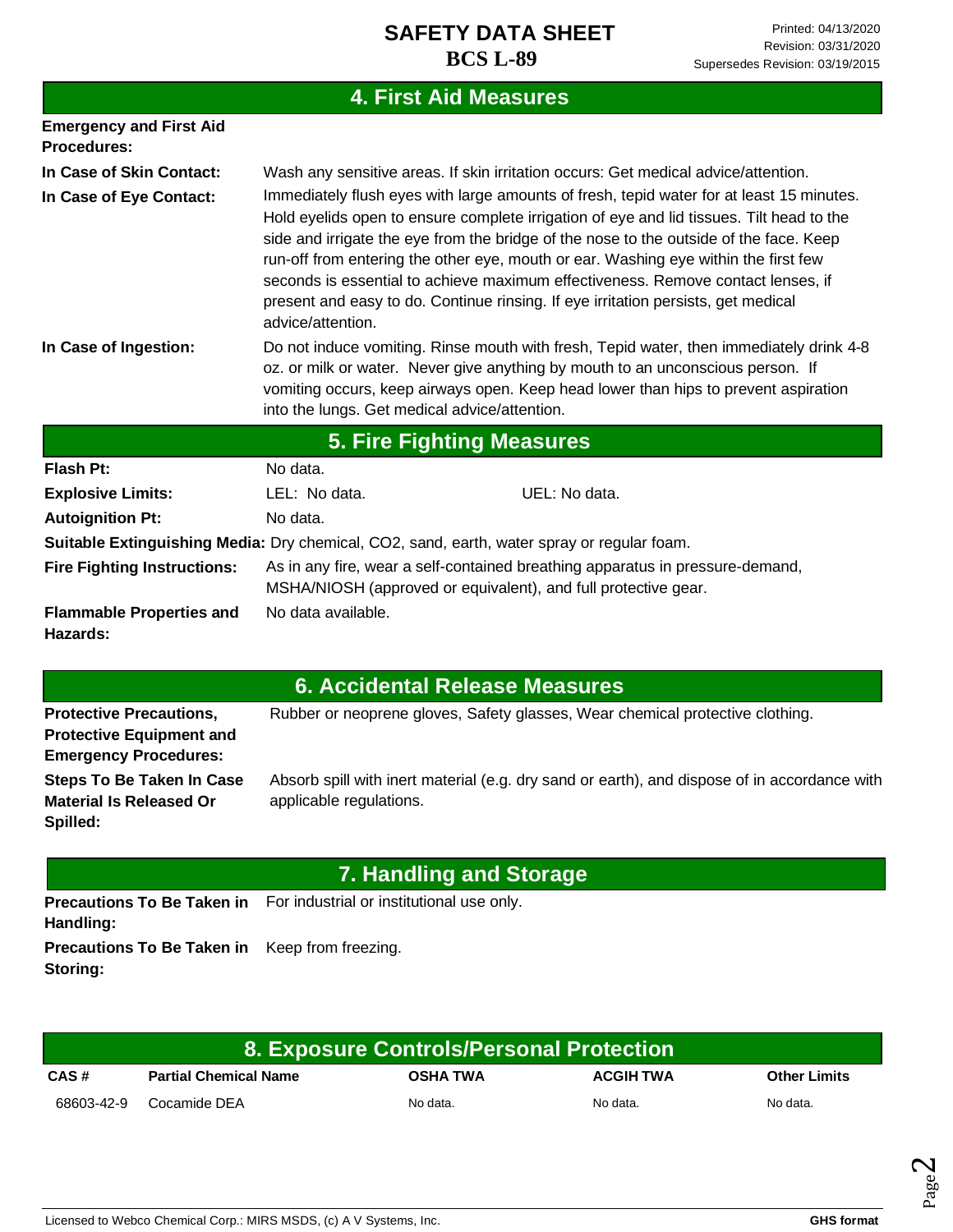# **4. First Aid Measures**

| <b>Emergency and First Aid</b><br><b>Procedures:</b> |                                                                                                                                                                                                                                                                                                                    |                                                                                                                                                                                                                                                                                                                                                                                                                                                                                                                                                |  |
|------------------------------------------------------|--------------------------------------------------------------------------------------------------------------------------------------------------------------------------------------------------------------------------------------------------------------------------------------------------------------------|------------------------------------------------------------------------------------------------------------------------------------------------------------------------------------------------------------------------------------------------------------------------------------------------------------------------------------------------------------------------------------------------------------------------------------------------------------------------------------------------------------------------------------------------|--|
| In Case of Skin Contact:                             | Wash any sensitive areas. If skin irritation occurs: Get medical advice/attention.                                                                                                                                                                                                                                 |                                                                                                                                                                                                                                                                                                                                                                                                                                                                                                                                                |  |
| In Case of Eye Contact:                              | advice/attention.                                                                                                                                                                                                                                                                                                  | Immediately flush eyes with large amounts of fresh, tepid water for at least 15 minutes.<br>Hold eyelids open to ensure complete irrigation of eye and lid tissues. Tilt head to the<br>side and irrigate the eye from the bridge of the nose to the outside of the face. Keep<br>run-off from entering the other eye, mouth or ear. Washing eye within the first few<br>seconds is essential to achieve maximum effectiveness. Remove contact lenses, if<br>present and easy to do. Continue rinsing. If eye irritation persists, get medical |  |
| In Case of Ingestion:                                | Do not induce vomiting. Rinse mouth with fresh, Tepid water, then immediately drink 4-8<br>oz. or milk or water. Never give anything by mouth to an unconscious person. If<br>vomiting occurs, keep airways open. Keep head lower than hips to prevent aspiration<br>into the lungs. Get medical advice/attention. |                                                                                                                                                                                                                                                                                                                                                                                                                                                                                                                                                |  |
|                                                      | <b>5. Fire Fighting Measures</b>                                                                                                                                                                                                                                                                                   |                                                                                                                                                                                                                                                                                                                                                                                                                                                                                                                                                |  |
| <b>Flash Pt:</b>                                     | No data.                                                                                                                                                                                                                                                                                                           |                                                                                                                                                                                                                                                                                                                                                                                                                                                                                                                                                |  |
| <b>Explosive Limits:</b>                             | LEL: No data.                                                                                                                                                                                                                                                                                                      | UEL: No data.                                                                                                                                                                                                                                                                                                                                                                                                                                                                                                                                  |  |
| <b>Autoignition Pt:</b>                              | No data.                                                                                                                                                                                                                                                                                                           |                                                                                                                                                                                                                                                                                                                                                                                                                                                                                                                                                |  |
|                                                      | <b>Suitable Extinguishing Media:</b> Dry chemical, CO2, sand, earth, water spray or regular foam.                                                                                                                                                                                                                  |                                                                                                                                                                                                                                                                                                                                                                                                                                                                                                                                                |  |
| <b>Fire Fighting Instructions:</b>                   | As in any fire, wear a self-contained breathing apparatus in pressure-demand,<br>MSHA/NIOSH (approved or equivalent), and full protective gear.                                                                                                                                                                    |                                                                                                                                                                                                                                                                                                                                                                                                                                                                                                                                                |  |
| <b>Flammable Properties and</b><br>Hazards:          | No data available.                                                                                                                                                                                                                                                                                                 |                                                                                                                                                                                                                                                                                                                                                                                                                                                                                                                                                |  |
|                                                      | C. Assidental Delasse Messings                                                                                                                                                                                                                                                                                     |                                                                                                                                                                                                                                                                                                                                                                                                                                                                                                                                                |  |

|                                                                                                                                                                                    | <b>6. Accidental Release Measures</b>                                                                                   |  |
|------------------------------------------------------------------------------------------------------------------------------------------------------------------------------------|-------------------------------------------------------------------------------------------------------------------------|--|
| Rubber or neoprene gloves, Safety glasses, Wear chemical protective clothing.<br><b>Protective Precautions,</b><br><b>Protective Equipment and</b><br><b>Emergency Procedures:</b> |                                                                                                                         |  |
| <b>Steps To Be Taken In Case</b><br><b>Material Is Released Or</b><br>Spilled:                                                                                                     | Absorb spill with inert material (e.g. dry sand or earth), and dispose of in accordance with<br>applicable regulations. |  |
| 7. Handling and Storage                                                                                                                                                            |                                                                                                                         |  |
| Handling:                                                                                                                                                                          | <b>Precautions To Be Taken in</b> For industrial or institutional use only.                                             |  |

**Precautions To Be Taken in**  Keep from freezing. **Storing:**

| 8. Exposure Controls/Personal Protection |                              |                 |                  |                     |
|------------------------------------------|------------------------------|-----------------|------------------|---------------------|
| CAS#                                     | <b>Partial Chemical Name</b> | <b>OSHA TWA</b> | <b>ACGIH TWA</b> | <b>Other Limits</b> |
| 68603-42-9                               | Cocamide DEA                 | No data.        | No data.         | No data.            |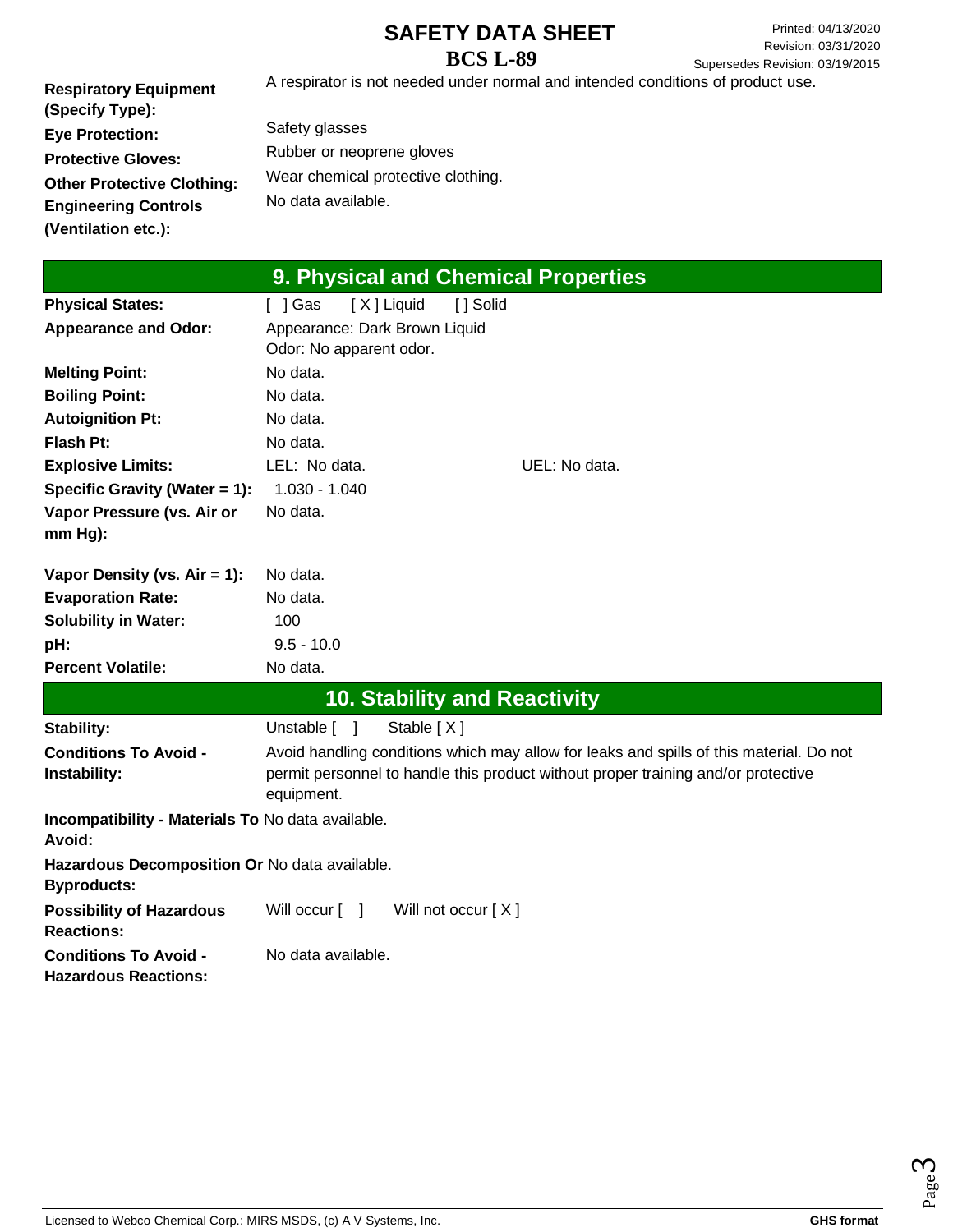Printed: 04/13/2020 Revision: 03/31/2020 Supersedes Revision: 03/19/2015

**Respiratory Equipment (Specify Type): Eye Protection: Protective Gloves: Other Protective Clothing: Engineering Controls (Ventilation etc.):** A respirator is not needed under normal and intended conditions of product use.

Safety glasses Rubber or neoprene gloves Wear chemical protective clothing. No data available.

| 9. Physical and Chemical Properties                                 |                                                                                                                                                                                            |  |
|---------------------------------------------------------------------|--------------------------------------------------------------------------------------------------------------------------------------------------------------------------------------------|--|
| <b>Physical States:</b>                                             | [X] Liquid<br>$[$ ] Gas<br>[ ] Solid                                                                                                                                                       |  |
| <b>Appearance and Odor:</b>                                         | Appearance: Dark Brown Liquid<br>Odor: No apparent odor.                                                                                                                                   |  |
| <b>Melting Point:</b>                                               | No data.                                                                                                                                                                                   |  |
| <b>Boiling Point:</b>                                               | No data.                                                                                                                                                                                   |  |
| <b>Autoignition Pt:</b>                                             | No data.                                                                                                                                                                                   |  |
| <b>Flash Pt:</b>                                                    | No data.                                                                                                                                                                                   |  |
| <b>Explosive Limits:</b>                                            | LEL: No data.<br>UEL: No data.                                                                                                                                                             |  |
| Specific Gravity (Water = 1):                                       | $1.030 - 1.040$                                                                                                                                                                            |  |
| Vapor Pressure (vs. Air or<br>$mm Hg$ ):                            | No data.                                                                                                                                                                                   |  |
| Vapor Density (vs. $Air = 1$ ):                                     | No data.                                                                                                                                                                                   |  |
| <b>Evaporation Rate:</b>                                            | No data.                                                                                                                                                                                   |  |
| <b>Solubility in Water:</b>                                         | 100                                                                                                                                                                                        |  |
| pH:                                                                 | $9.5 - 10.0$                                                                                                                                                                               |  |
| <b>Percent Volatile:</b>                                            | No data.                                                                                                                                                                                   |  |
|                                                                     | <b>10. Stability and Reactivity</b>                                                                                                                                                        |  |
| Stability:                                                          | Stable [X]<br>Unstable [ ]                                                                                                                                                                 |  |
| <b>Conditions To Avoid -</b><br>Instability:                        | Avoid handling conditions which may allow for leaks and spills of this material. Do not<br>permit personnel to handle this product without proper training and/or protective<br>equipment. |  |
| Incompatibility - Materials To No data available.<br>Avoid:         |                                                                                                                                                                                            |  |
| Hazardous Decomposition Or No data available.<br><b>Byproducts:</b> |                                                                                                                                                                                            |  |
| <b>Possibility of Hazardous</b><br><b>Reactions:</b>                | Will occur $\lceil \quad \rceil$<br>Will not occur [X]                                                                                                                                     |  |
| <b>Conditions To Avoid -</b><br><b>Hazardous Reactions:</b>         | No data available.                                                                                                                                                                         |  |